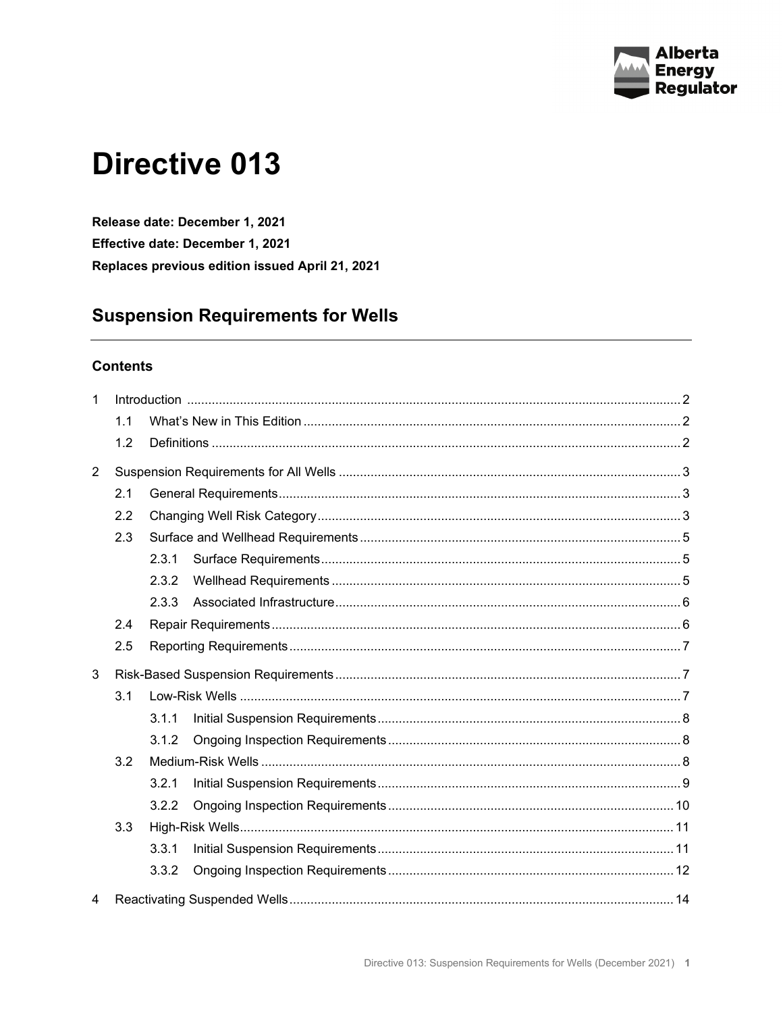

# **Directive 013**

Release date: December 1, 2021 Effective date: December 1, 2021 Replaces previous edition issued April 21, 2021

# **Suspension Requirements for Wells**

# **Contents**

| $\mathbf{1}$   |     |       |  |  |  |
|----------------|-----|-------|--|--|--|
|                | 1.1 |       |  |  |  |
|                | 1.2 |       |  |  |  |
| $\overline{2}$ |     |       |  |  |  |
|                | 2.1 |       |  |  |  |
|                | 2.2 |       |  |  |  |
|                | 2.3 |       |  |  |  |
|                |     | 2.3.1 |  |  |  |
|                |     | 2.3.2 |  |  |  |
|                |     | 2.3.3 |  |  |  |
|                | 2.4 |       |  |  |  |
|                | 2.5 |       |  |  |  |
| 3              |     |       |  |  |  |
|                | 3.1 |       |  |  |  |
|                |     | 3.1.1 |  |  |  |
|                |     | 3.1.2 |  |  |  |
|                | 3.2 |       |  |  |  |
|                |     | 3.2.1 |  |  |  |
|                |     | 3.2.2 |  |  |  |
|                | 3.3 |       |  |  |  |
|                |     | 3.3.1 |  |  |  |
|                |     | 3.3.2 |  |  |  |
| $\overline{4}$ |     |       |  |  |  |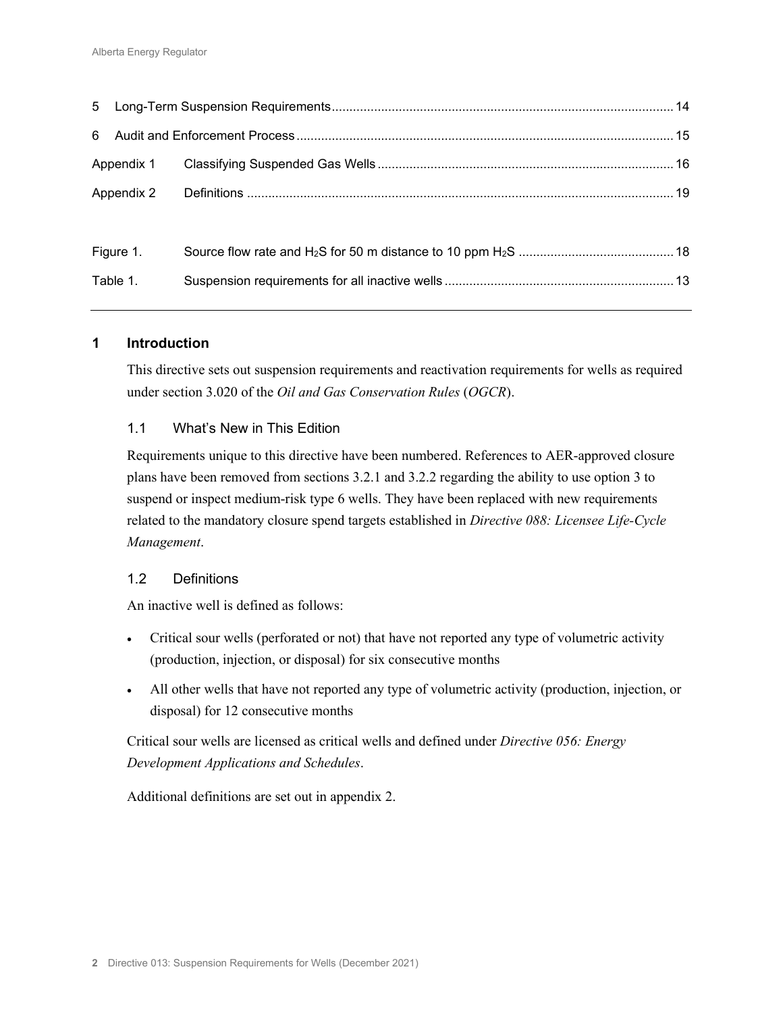| Appendix 2 |  |
|------------|--|
|            |  |
| Figure 1.  |  |
| Table 1.   |  |
|            |  |

## **1 Introduction**

This directive sets out suspension requirements and reactivation requirements for wells as required under section 3.020 of the *Oil and Gas Conservation Rules* (*OGCR*).

## 1.1 What's New in This Edition

Requirements unique to this directive have been numbered. References to AER-approved closure plans have been removed from sections 3.2.1 and 3.2.2 regarding the ability to use option 3 to suspend or inspect medium-risk type 6 wells. They have been replaced with new requirements related to the mandatory closure spend targets established in *Directive 088: Licensee Life-Cycle Management*.

#### 1.2 Definitions

An inactive well is defined as follows:

- Critical sour wells (perforated or not) that have not reported any type of volumetric activity (production, injection, or disposal) for six consecutive months
- All other wells that have not reported any type of volumetric activity (production, injection, or disposal) for 12 consecutive months

Critical sour wells are licensed as critical wells and defined under *Directive 056: Energy Development Applications and Schedules*.

Additional definitions are set out in appendix 2.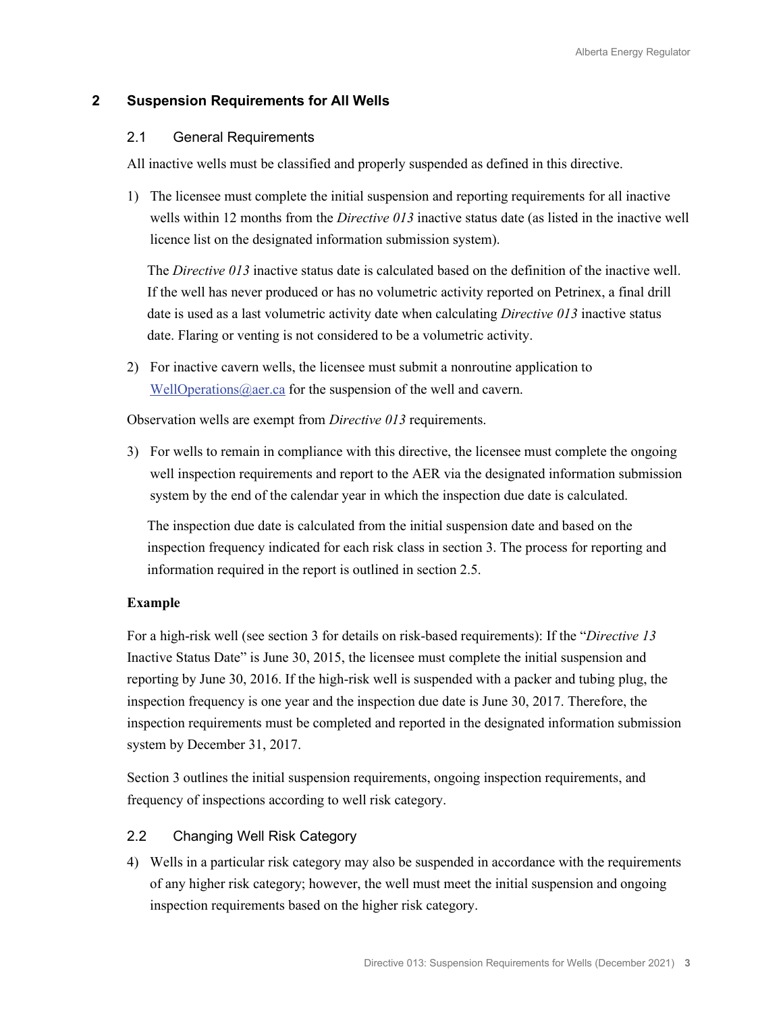# **2 Suspension Requirements for All Wells**

#### 2.1 General Requirements

All inactive wells must be classified and properly suspended as defined in this directive.

1) The licensee must complete the initial suspension and reporting requirements for all inactive wells within 12 months from the *Directive 013* inactive status date (as listed in the inactive well licence list on the designated information submission system).

The *Directive 013* inactive status date is calculated based on the definition of the inactive well. If the well has never produced or has no volumetric activity reported on Petrinex, a final drill date is used as a last volumetric activity date when calculating *Directive 013* inactive status date. Flaring or venting is not considered to be a volumetric activity.

2) For inactive cavern wells, the licensee must submit a nonroutine application to [WellOperations@aer.ca](mailto:welloperations@aer.ca) for the suspension of the well and cavern.

Observation wells are exempt from *Directive 013* requirements.

3) For wells to remain in compliance with this directive, the licensee must complete the ongoing well inspection requirements and report to the AER via the designated information submission system by the end of the calendar year in which the inspection due date is calculated.

The inspection due date is calculated from the initial suspension date and based on the inspection frequency indicated for each risk class in section 3. The process for reporting and information required in the report is outlined in section 2.5.

## **Example**

For a high-risk well (see section 3 for details on risk-based requirements): If the "*Directive 13* Inactive Status Date" is June 30, 2015, the licensee must complete the initial suspension and reporting by June 30, 2016. If the high-risk well is suspended with a packer and tubing plug, the inspection frequency is one year and the inspection due date is June 30, 2017. Therefore, the inspection requirements must be completed and reported in the designated information submission system by December 31, 2017.

Section 3 outlines the initial suspension requirements, ongoing inspection requirements, and frequency of inspections according to well risk category.

## 2.2 Changing Well Risk Category

4) Wells in a particular risk category may also be suspended in accordance with the requirements of any higher risk category; however, the well must meet the initial suspension and ongoing inspection requirements based on the higher risk category.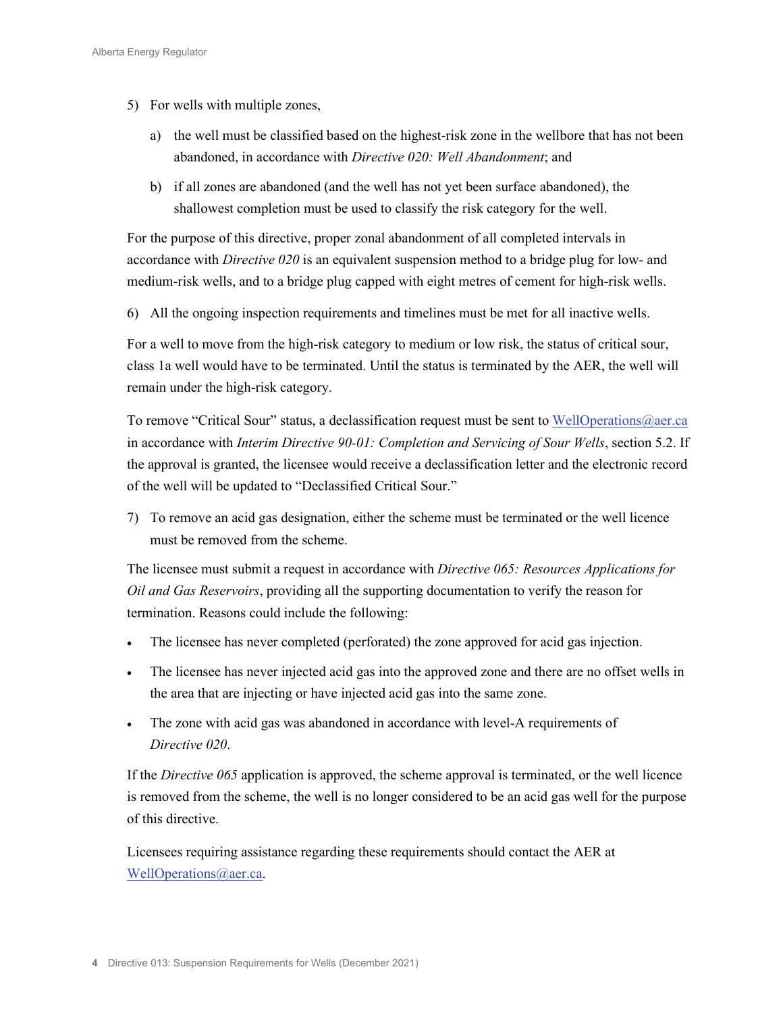- 5) For wells with multiple zones,
	- a) the well must be classified based on the highest-risk zone in the wellbore that has not been abandoned, in accordance with *Directive 020: Well Abandonment*; and
	- b) if all zones are abandoned (and the well has not yet been surface abandoned), the shallowest completion must be used to classify the risk category for the well.

For the purpose of this directive, proper zonal abandonment of all completed intervals in accordance with *Directive 020* is an equivalent suspension method to a bridge plug for low- and medium-risk wells, and to a bridge plug capped with eight metres of cement for high-risk wells.

6) All the ongoing inspection requirements and timelines must be met for all inactive wells.

For a well to move from the high-risk category to medium or low risk, the status of critical sour, class 1a well would have to be terminated. Until the status is terminated by the AER, the well will remain under the high-risk category.

To remove "Critical Sour" status, a declassification request must be sent to [WellOperations@aer.ca](mailto:welloperations@aer.ca) in accordance with *Interim Directive 90-01: Completion and Servicing of Sour Wells*, section 5.2. If the approval is granted, the licensee would receive a declassification letter and the electronic record of the well will be updated to "Declassified Critical Sour."

7) To remove an acid gas designation, either the scheme must be terminated or the well licence must be removed from the scheme.

The licensee must submit a request in accordance with *Directive 065: Resources Applications for Oil and Gas Reservoirs*, providing all the supporting documentation to verify the reason for termination. Reasons could include the following:

- The licensee has never completed (perforated) the zone approved for acid gas injection.
- The licensee has never injected acid gas into the approved zone and there are no offset wells in the area that are injecting or have injected acid gas into the same zone.
- The zone with acid gas was abandoned in accordance with level-A requirements of *Directive 020*.

If the *Directive 065* application is approved, the scheme approval is terminated, or the well licence is removed from the scheme, the well is no longer considered to be an acid gas well for the purpose of this directive.

Licensees requiring assistance regarding these requirements should contact the AER at [WellOperations@aer.ca.](mailto:welloperations@aer.ca)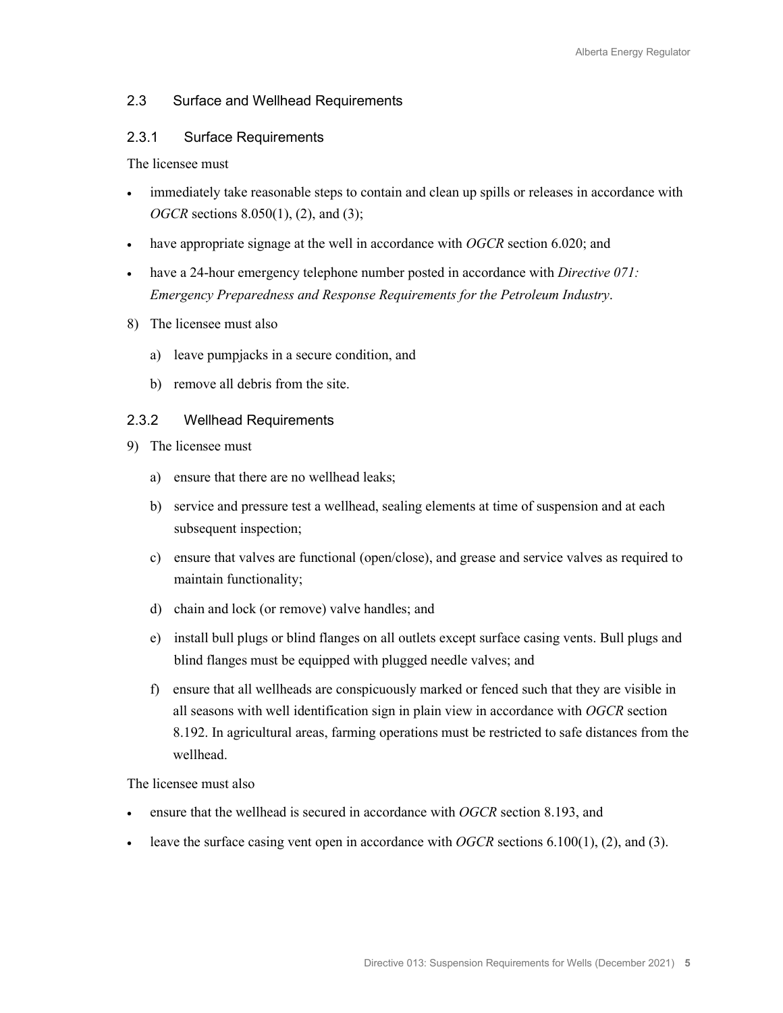## 2.3 Surface and Wellhead Requirements

#### 2.3.1 Surface Requirements

The licensee must

- immediately take reasonable steps to contain and clean up spills or releases in accordance with *OGCR* sections 8.050(1), (2), and (3);
- have appropriate signage at the well in accordance with *OGCR* section 6.020; and
- have a 24-hour emergency telephone number posted in accordance with *Directive 071: Emergency Preparedness and Response Requirements for the Petroleum Industry*.
- 8) The licensee must also
	- a) leave pumpjacks in a secure condition, and
	- b) remove all debris from the site.

#### 2.3.2 Wellhead Requirements

- 9) The licensee must
	- a) ensure that there are no wellhead leaks;
	- b) service and pressure test a wellhead, sealing elements at time of suspension and at each subsequent inspection;
	- c) ensure that valves are functional (open/close), and grease and service valves as required to maintain functionality;
	- d) chain and lock (or remove) valve handles; and
	- e) install bull plugs or blind flanges on all outlets except surface casing vents. Bull plugs and blind flanges must be equipped with plugged needle valves; and
	- f) ensure that all wellheads are conspicuously marked or fenced such that they are visible in all seasons with well identification sign in plain view in accordance with *OGCR* section 8.192. In agricultural areas, farming operations must be restricted to safe distances from the wellhead.

The licensee must also

- ensure that the wellhead is secured in accordance with *OGCR* section 8.193, and
- leave the surface casing vent open in accordance with *OGCR* sections 6.100(1), (2), and (3).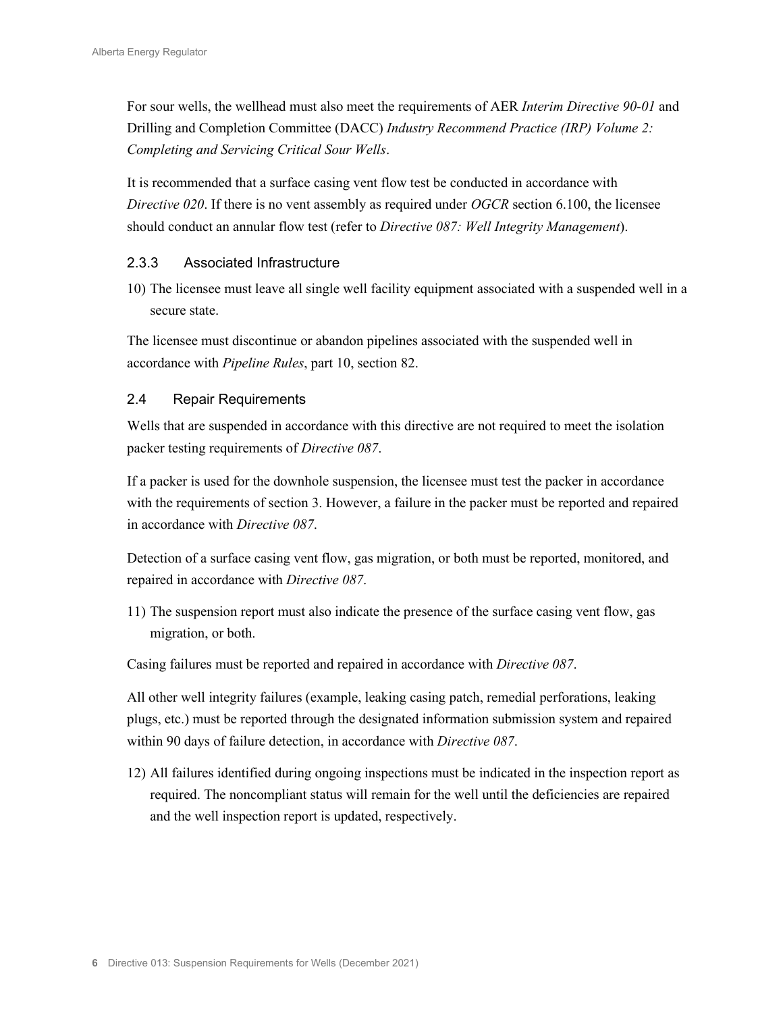For sour wells, the wellhead must also meet the requirements of AER *Interim Directive 90-01* and Drilling and Completion Committee (DACC) *Industry Recommend Practice (IRP) Volume 2: Completing and Servicing Critical Sour Wells*.

It is recommended that a surface casing vent flow test be conducted in accordance with *Directive 020*. If there is no vent assembly as required under *OGCR* section 6.100, the licensee should conduct an annular flow test (refer to *Directive 087: Well Integrity Management*).

# 2.3.3 Associated Infrastructure

10) The licensee must leave all single well facility equipment associated with a suspended well in a secure state.

The licensee must discontinue or abandon pipelines associated with the suspended well in accordance with *Pipeline Rules*, part 10, section 82.

# 2.4 Repair Requirements

Wells that are suspended in accordance with this directive are not required to meet the isolation packer testing requirements of *Directive 087*.

If a packer is used for the downhole suspension, the licensee must test the packer in accordance with the requirements of section 3. However, a failure in the packer must be reported and repaired in accordance with *Directive 087*.

Detection of a surface casing vent flow, gas migration, or both must be reported, monitored, and repaired in accordance with *Directive 087*.

11) The suspension report must also indicate the presence of the surface casing vent flow, gas migration, or both.

Casing failures must be reported and repaired in accordance with *Directive 087*.

All other well integrity failures (example, leaking casing patch, remedial perforations, leaking plugs, etc.) must be reported through the designated information submission system and repaired within 90 days of failure detection, in accordance with *Directive 087*.

12) All failures identified during ongoing inspections must be indicated in the inspection report as required. The noncompliant status will remain for the well until the deficiencies are repaired and the well inspection report is updated, respectively.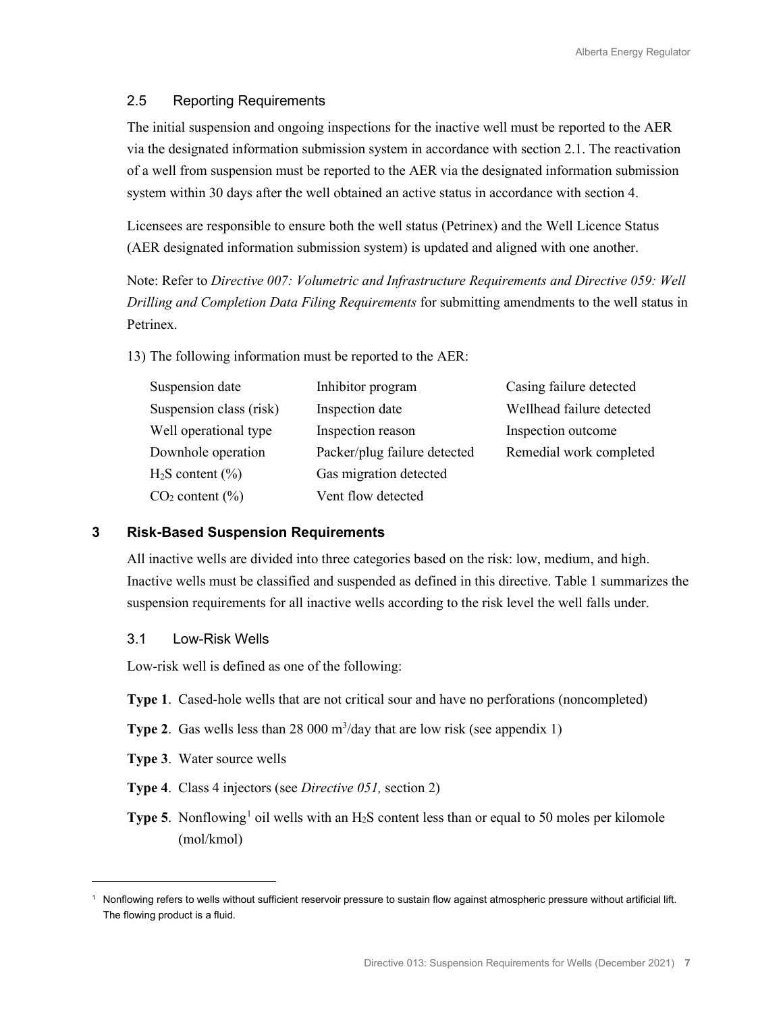#### 2.5 Reporting Requirements

The initial suspension and ongoing inspections for the inactive well must be reported to the AER via the designated information submission system in accordance with section 2.1. The reactivation of a well from suspension must be reported to the AER via the designated information submission system within 30 days after the well obtained an active status in accordance with section 4.

Licensees are responsible to ensure both the well status (Petrinex) and the Well Licence Status (AER designated information submission system) is updated and aligned with one another.

Note: Refer to *Directive 007: Volumetric and Infrastructure Requirements and Directive 059: Well Drilling and Completion Data Filing Requirements* for submitting amendments to the well status in Petrinex.

13) The following information must be reported to the AER:

| Suspension date             | Inhibitor program            | Casing failure detected   |
|-----------------------------|------------------------------|---------------------------|
| Suspension class (risk)     | Inspection date              | Wellhead failure detected |
| Well operational type       | Inspection reason            | Inspection outcome        |
| Downhole operation          | Packer/plug failure detected | Remedial work completed   |
| $H_2S$ content $(\% )$      | Gas migration detected       |                           |
| CO <sub>2</sub> content (%) | Vent flow detected           |                           |

## **3 Risk-Based Suspension Requirements**

All inactive wells are divided into three categories based on the risk: low, medium, and high. Inactive wells must be classified and suspended as defined in this directive. Table 1 summarizes the suspension requirements for all inactive wells according to the risk level the well falls under.

#### 3.1 Low-Risk Wells

Low-risk well is defined as one of the following:

- **Type 1**. Cased-hole wells that are not critical sour and have no perforations (noncompleted)
- **Type 2.** Gas wells less than 28 000  $m^3$ /day that are low risk (see appendix 1)
- **Type 3**. Water source wells
- **Type 4**. Class 4 injectors (see *Directive 051,* section 2)
- **Type 5.** Nonflowing<sup>[1](#page-6-0)</sup> oil wells with an  $H_2S$  content less than or equal to 50 moles per kilomole (mol/kmol)

<span id="page-6-0"></span><sup>1</sup> Nonflowing refers to wells without sufficient reservoir pressure to sustain flow against atmospheric pressure without artificial lift. The flowing product is a fluid.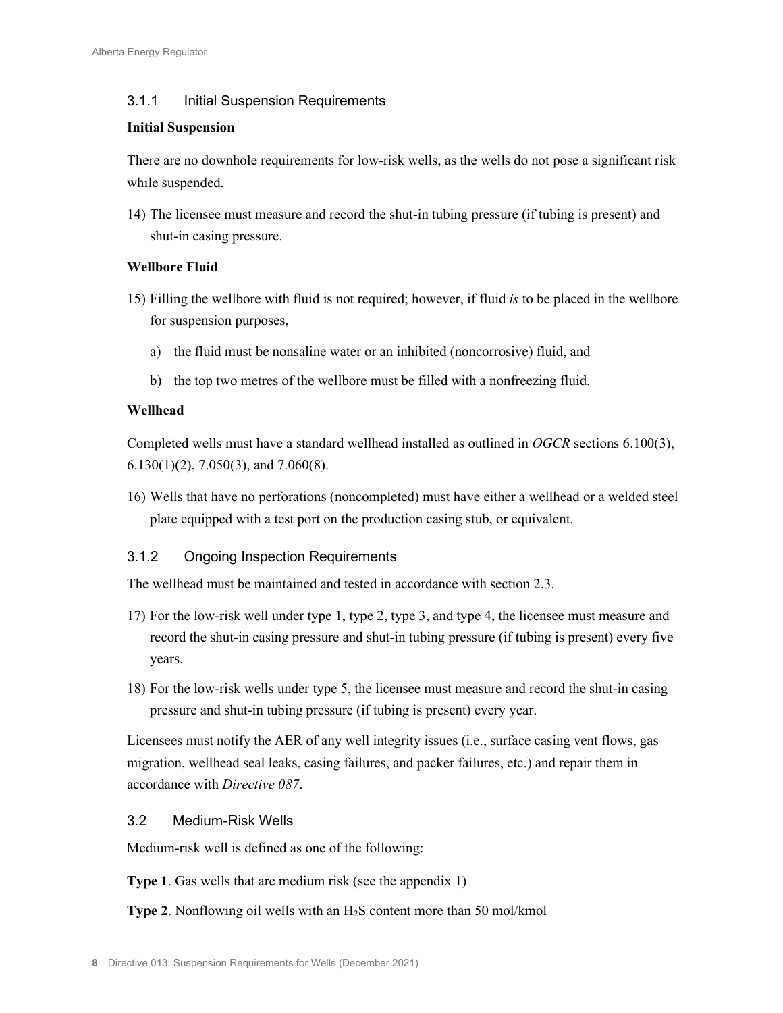# 3.1.1 Initial Suspension Requirements

#### **Initial Suspension**

There are no downhole requirements for low-risk wells, as the wells do not pose a significant risk while suspended.

14) The licensee must measure and record the shut-in tubing pressure (if tubing is present) and shut-in casing pressure.

# **Wellbore Fluid**

- 15) Filling the wellbore with fluid is not required; however, if fluid *is* to be placed in the wellbore for suspension purposes,
	- a) the fluid must be nonsaline water or an inhibited (noncorrosive) fluid, and
	- b) the top two metres of the wellbore must be filled with a nonfreezing fluid.

## **Wellhead**

Completed wells must have a standard wellhead installed as outlined in *OGCR* sections 6.100(3), 6.130(1)(2), 7.050(3), and 7.060(8).

16) Wells that have no perforations (noncompleted) must have either a wellhead or a welded steel plate equipped with a test port on the production casing stub, or equivalent.

# 3.1.2 Ongoing Inspection Requirements

The wellhead must be maintained and tested in accordance with section 2.3.

- 17) For the low-risk well under type 1, type 2, type 3, and type 4, the licensee must measure and record the shut-in casing pressure and shut-in tubing pressure (if tubing is present) every five years.
- 18) For the low-risk wells under type 5, the licensee must measure and record the shut-in casing pressure and shut-in tubing pressure (if tubing is present) every year.

Licensees must notify the AER of any well integrity issues (i.e., surface casing vent flows, gas migration, wellhead seal leaks, casing failures, and packer failures, etc.) and repair them in accordance with *Directive 087*.

## 3.2 Medium-Risk Wells

Medium-risk well is defined as one of the following:

**Type 1**. Gas wells that are medium risk (see the appendix 1)

**Type 2.** Nonflowing oil wells with an H<sub>2</sub>S content more than 50 mol/kmol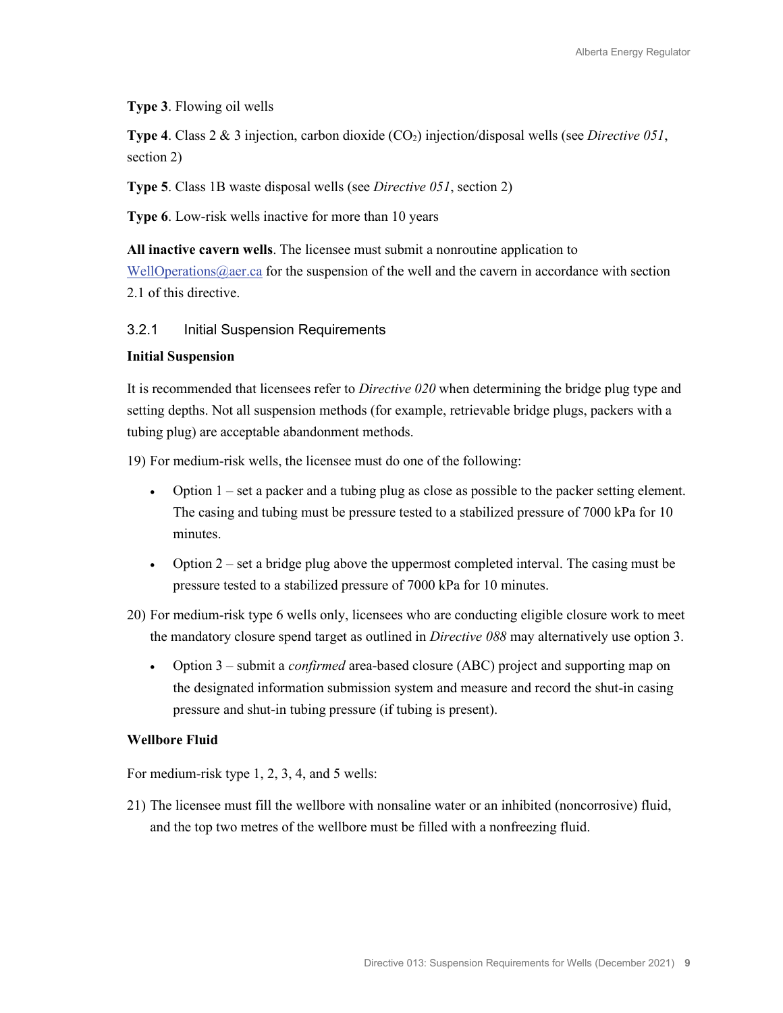**Type 3**. Flowing oil wells

**Type 4**. Class 2 & 3 injection, carbon dioxide (CO<sub>2</sub>) injection/disposal wells (see *Directive 051*, section 2)

**Type 5**. Class 1B waste disposal wells (see *Directive 051*, section 2)

**Type 6**. Low-risk wells inactive for more than 10 years

**All inactive cavern wells**. The licensee must submit a nonroutine application to

[WellOperations@aer.ca](mailto:welloperations@aer.ca) for the suspension of the well and the cavern in accordance with section 2.1 of this directive.

## 3.2.1 Initial Suspension Requirements

#### **Initial Suspension**

It is recommended that licensees refer to *Directive 020* when determining the bridge plug type and setting depths. Not all suspension methods (for example, retrievable bridge plugs, packers with a tubing plug) are acceptable abandonment methods.

19) For medium-risk wells, the licensee must do one of the following:

- Option  $1 \text{set a packer and a tubing plug as close as possible to the packer setting element.}$ The casing and tubing must be pressure tested to a stabilized pressure of 7000 kPa for 10 minutes.
- Option  $2$  set a bridge plug above the uppermost completed interval. The casing must be pressure tested to a stabilized pressure of 7000 kPa for 10 minutes.
- 20) For medium-risk type 6 wells only, licensees who are conducting eligible closure work to meet the mandatory closure spend target as outlined in *Directive 088* may alternatively use option 3.
	- Option 3 submit a *confirmed* area-based closure (ABC) project and supporting map on the designated information submission system and measure and record the shut-in casing pressure and shut-in tubing pressure (if tubing is present).

#### **Wellbore Fluid**

For medium-risk type 1, 2, 3, 4, and 5 wells:

21) The licensee must fill the wellbore with nonsaline water or an inhibited (noncorrosive) fluid, and the top two metres of the wellbore must be filled with a nonfreezing fluid.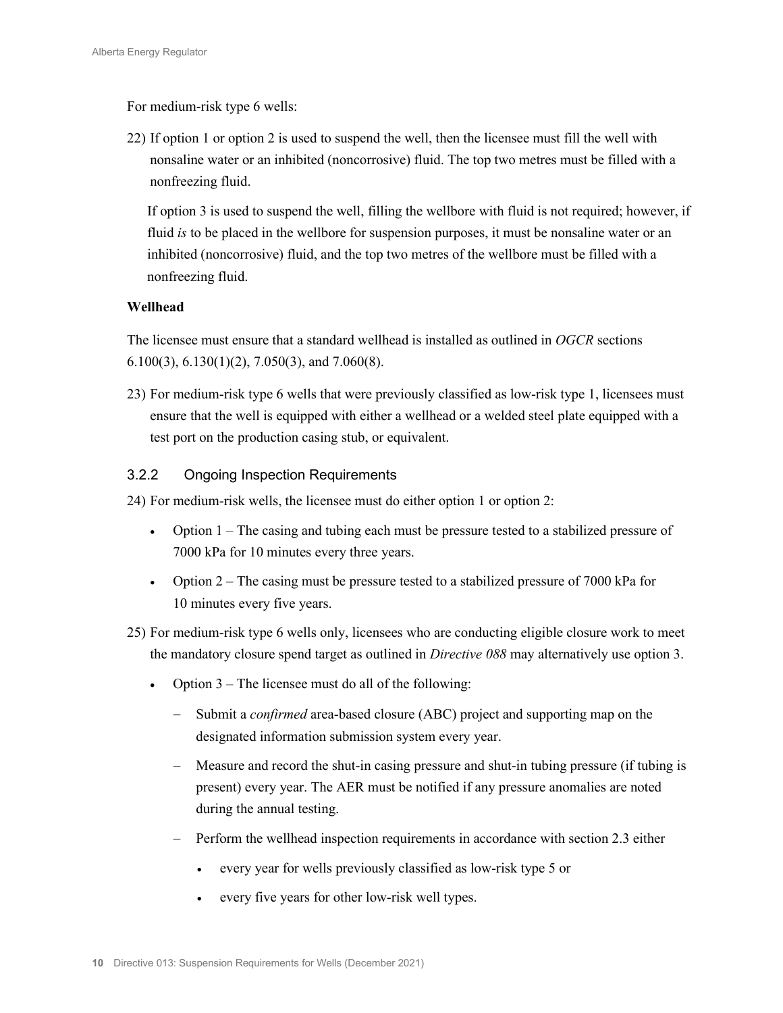For medium-risk type 6 wells:

22) If option 1 or option 2 is used to suspend the well, then the licensee must fill the well with nonsaline water or an inhibited (noncorrosive) fluid. The top two metres must be filled with a nonfreezing fluid.

If option 3 is used to suspend the well, filling the wellbore with fluid is not required; however, if fluid *is* to be placed in the wellbore for suspension purposes, it must be nonsaline water or an inhibited (noncorrosive) fluid, and the top two metres of the wellbore must be filled with a nonfreezing fluid.

# **Wellhead**

The licensee must ensure that a standard wellhead is installed as outlined in *OGCR* sections 6.100(3), 6.130(1)(2), 7.050(3), and 7.060(8).

23) For medium-risk type 6 wells that were previously classified as low-risk type 1, licensees must ensure that the well is equipped with either a wellhead or a welded steel plate equipped with a test port on the production casing stub, or equivalent.

# 3.2.2 Ongoing Inspection Requirements

24) For medium-risk wells, the licensee must do either option 1 or option 2:

- Option 1 The casing and tubing each must be pressure tested to a stabilized pressure of 7000 kPa for 10 minutes every three years.
- Option  $2 -$  The casing must be pressure tested to a stabilized pressure of 7000 kPa for 10 minutes every five years.
- 25) For medium-risk type 6 wells only, licensees who are conducting eligible closure work to meet the mandatory closure spend target as outlined in *Directive 088* may alternatively use option 3.
	- Option  $3$  The licensee must do all of the following:
		- Submit a *confirmed* area-based closure (ABC) project and supporting map on the designated information submission system every year.
		- − Measure and record the shut-in casing pressure and shut-in tubing pressure (if tubing is present) every year. The AER must be notified if any pressure anomalies are noted during the annual testing.
		- − Perform the wellhead inspection requirements in accordance with section 2.3 either
			- every year for wells previously classified as low-risk type 5 or
			- every five years for other low-risk well types.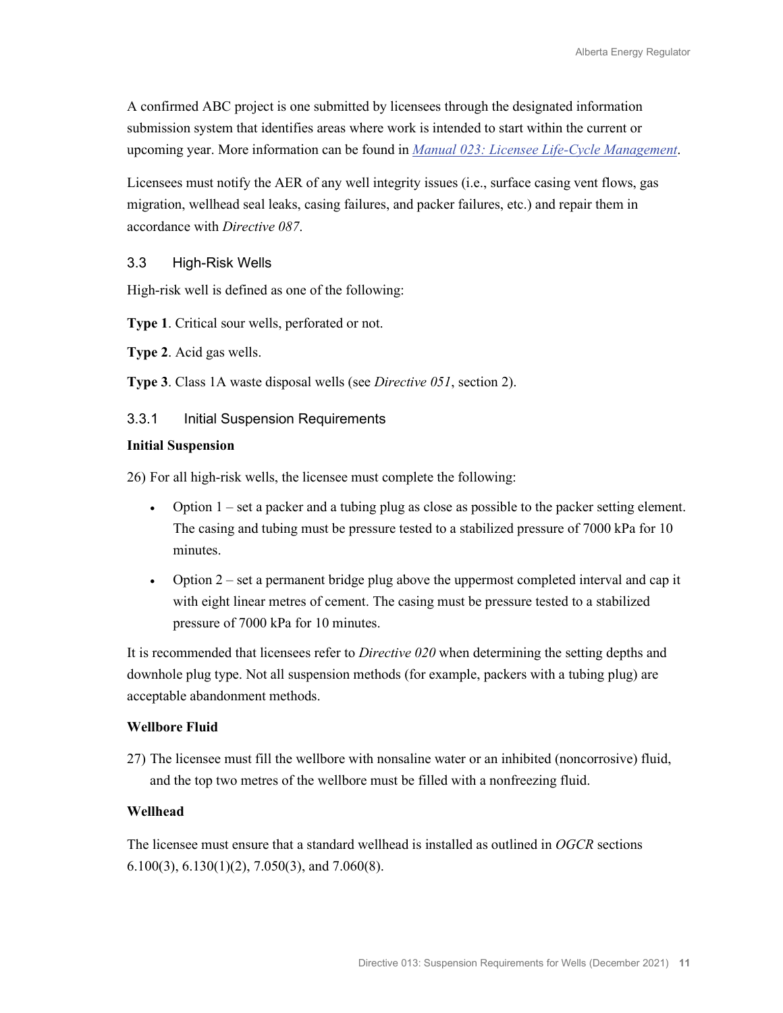A confirmed ABC project is one submitted by licensees through the designated information submission system that identifies areas where work is intended to start within the current or upcoming year. More information can be found in *[Manual 023: Licensee Life-Cycle Management](https://www.aer.ca/regulating-development/rules-and-directives/manuals)*.

Licensees must notify the AER of any well integrity issues (i.e., surface casing vent flows, gas migration, wellhead seal leaks, casing failures, and packer failures, etc.) and repair them in accordance with *Directive 087*.

## 3.3 High-Risk Wells

High-risk well is defined as one of the following:

**Type 1**. Critical sour wells, perforated or not.

**Type 2**. Acid gas wells.

**Type 3**. Class 1A waste disposal wells (see *Directive 051*, section 2).

#### 3.3.1 Initial Suspension Requirements

#### **Initial Suspension**

26) For all high-risk wells, the licensee must complete the following:

- Option 1 set a packer and a tubing plug as close as possible to the packer setting element. The casing and tubing must be pressure tested to a stabilized pressure of 7000 kPa for 10 minutes.
- Option 2 set a permanent bridge plug above the uppermost completed interval and cap it with eight linear metres of cement. The casing must be pressure tested to a stabilized pressure of 7000 kPa for 10 minutes.

It is recommended that licensees refer to *Directive 020* when determining the setting depths and downhole plug type. Not all suspension methods (for example, packers with a tubing plug) are acceptable abandonment methods.

#### **Wellbore Fluid**

27) The licensee must fill the wellbore with nonsaline water or an inhibited (noncorrosive) fluid, and the top two metres of the wellbore must be filled with a nonfreezing fluid.

#### **Wellhead**

The licensee must ensure that a standard wellhead is installed as outlined in *OGCR* sections  $6.100(3)$ ,  $6.130(1)(2)$ ,  $7.050(3)$ , and  $7.060(8)$ .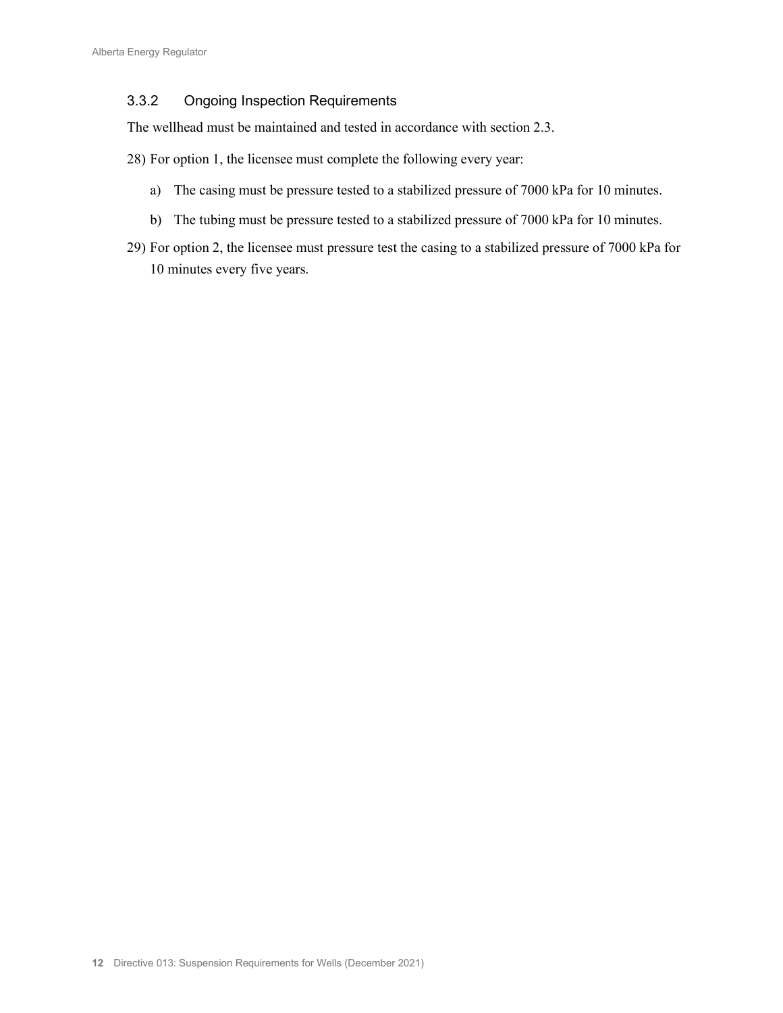# 3.3.2 Ongoing Inspection Requirements

The wellhead must be maintained and tested in accordance with section 2.3.

- 28) For option 1, the licensee must complete the following every year:
	- a) The casing must be pressure tested to a stabilized pressure of 7000 kPa for 10 minutes.
	- b) The tubing must be pressure tested to a stabilized pressure of 7000 kPa for 10 minutes.
- 29) For option 2, the licensee must pressure test the casing to a stabilized pressure of 7000 kPa for 10 minutes every five years.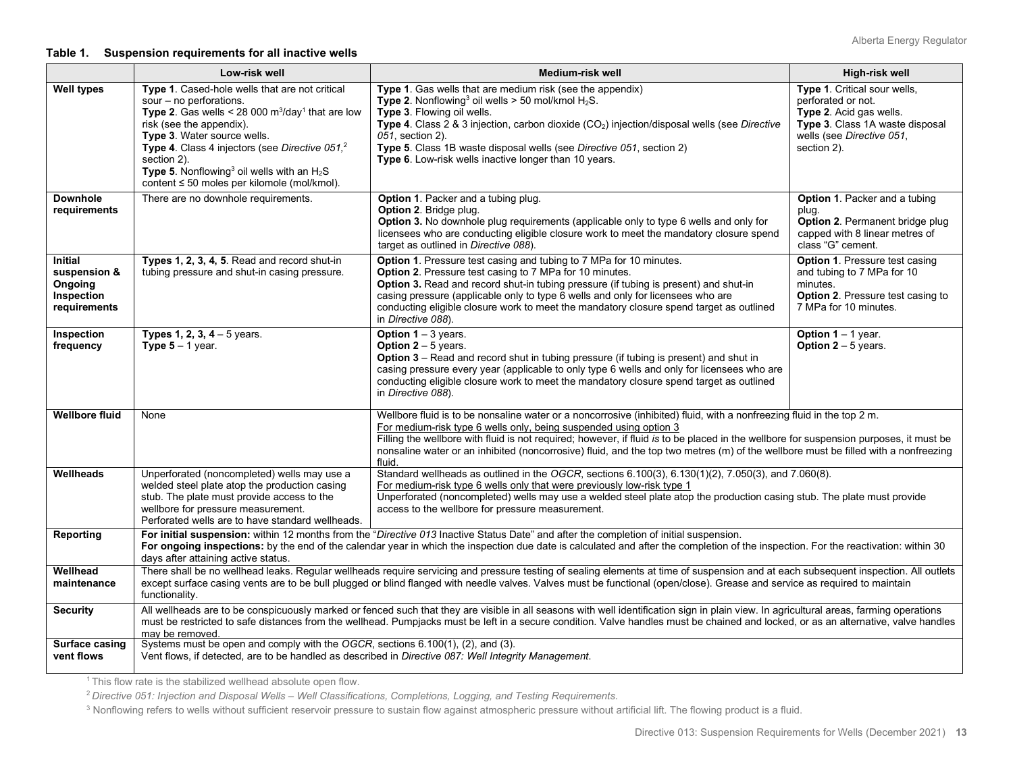#### **Table 1. Suspension requirements for all inactive wells**

|                                                                         | Low-risk well                                                                                                                                                                                                                                                                                                                                                                                     | Medium-risk well                                                                                                                                                                                                                                                                                                                                                                                                                                                                     | High-risk well                                                                                                                                               |
|-------------------------------------------------------------------------|---------------------------------------------------------------------------------------------------------------------------------------------------------------------------------------------------------------------------------------------------------------------------------------------------------------------------------------------------------------------------------------------------|--------------------------------------------------------------------------------------------------------------------------------------------------------------------------------------------------------------------------------------------------------------------------------------------------------------------------------------------------------------------------------------------------------------------------------------------------------------------------------------|--------------------------------------------------------------------------------------------------------------------------------------------------------------|
| <b>Well types</b>                                                       | Type 1. Cased-hole wells that are not critical<br>sour - no perforations.<br>Type 2. Gas wells < 28 000 $m^3$ /day <sup>1</sup> that are low<br>risk (see the appendix).<br>Type 3. Water source wells.<br>Type 4. Class 4 injectors (see Directive 051, <sup>2</sup><br>section 2).<br>Type 5. Nonflowing <sup>3</sup> oil wells with an $H_2S$<br>content ≤ 50 moles per kilomole (mol/kmol).   | Type 1. Gas wells that are medium risk (see the appendix)<br>Type 2. Nonflowing <sup>3</sup> oil wells > 50 mol/kmol $H_2S$ .<br>Type 3. Flowing oil wells.<br>Type 4. Class 2 & 3 injection, carbon dioxide (CO <sub>2</sub> ) injection/disposal wells (see Directive<br>051, section 2).<br>Type 5. Class 1B waste disposal wells (see Directive 051, section 2)<br>Type 6. Low-risk wells inactive longer than 10 years.                                                         | Type 1. Critical sour wells,<br>perforated or not.<br>Type 2. Acid gas wells.<br>Type 3. Class 1A waste disposal<br>wells (see Directive 051,<br>section 2). |
| <b>Downhole</b><br>requirements                                         | There are no downhole requirements.                                                                                                                                                                                                                                                                                                                                                               | <b>Option 1. Packer and a tubing plug.</b><br><b>Option 2. Bridge plug.</b><br>Option 3. No downhole plug requirements (applicable only to type 6 wells and only for<br>licensees who are conducting eligible closure work to meet the mandatory closure spend<br>target as outlined in Directive 088).                                                                                                                                                                              | <b>Option 1. Packer and a tubing</b><br>plug.<br>Option 2. Permanent bridge plug<br>capped with 8 linear metres of<br>class "G" cement.                      |
| <b>Initial</b><br>suspension &<br>Ongoing<br>Inspection<br>requirements | Types 1, 2, 3, 4, 5. Read and record shut-in<br>tubing pressure and shut-in casing pressure.                                                                                                                                                                                                                                                                                                      | <b>Option 1.</b> Pressure test casing and tubing to 7 MPa for 10 minutes.<br>Option 2. Pressure test casing to 7 MPa for 10 minutes.<br>Option 3. Read and record shut-in tubing pressure (if tubing is present) and shut-in<br>casing pressure (applicable only to type 6 wells and only for licensees who are<br>conducting eligible closure work to meet the mandatory closure spend target as outlined<br>in Directive 088).                                                     | <b>Option 1. Pressure test casing</b><br>and tubing to 7 MPa for 10<br>minutes.<br><b>Option 2. Pressure test casing to</b><br>7 MPa for 10 minutes.         |
| Inspection<br>frequency                                                 | <b>Types 1, 2, 3, 4 – 5 years.</b><br><b>Type 5</b> $-$ 1 year.                                                                                                                                                                                                                                                                                                                                   | Option $1 - 3$ years.<br><b>Option 2</b> – 5 years.<br>Option 3 – Read and record shut in tubing pressure (if tubing is present) and shut in<br>casing pressure every year (applicable to only type 6 wells and only for licensees who are<br>conducting eligible closure work to meet the mandatory closure spend target as outlined<br>in Directive 088).                                                                                                                          | Option $1 - 1$ year.<br><b>Option 2</b> $-$ 5 years.                                                                                                         |
| <b>Wellbore fluid</b>                                                   | None                                                                                                                                                                                                                                                                                                                                                                                              | Wellbore fluid is to be nonsaline water or a noncorrosive (inhibited) fluid, with a nonfreezing fluid in the top 2 m.<br>For medium-risk type 6 wells only, being suspended using option 3<br>Filling the wellbore with fluid is not required; however, if fluid is to be placed in the wellbore for suspension purposes, it must be<br>nonsaline water or an inhibited (noncorrosive) fluid, and the top two metres (m) of the wellbore must be filled with a nonfreezing<br>fluid. |                                                                                                                                                              |
| Wellheads                                                               | Unperforated (noncompleted) wells may use a<br>welded steel plate atop the production casing<br>stub. The plate must provide access to the<br>wellbore for pressure measurement.<br>Perforated wells are to have standard wellheads.                                                                                                                                                              | Standard wellheads as outlined in the OGCR, sections 6.100(3), 6.130(1)(2), 7.050(3), and 7.060(8).<br>For medium-risk type 6 wells only that were previously low-risk type 1<br>Unperforated (noncompleted) wells may use a welded steel plate atop the production casing stub. The plate must provide<br>access to the wellbore for pressure measurement.                                                                                                                          |                                                                                                                                                              |
| <b>Reporting</b>                                                        | days after attaining active status.                                                                                                                                                                                                                                                                                                                                                               | For initial suspension: within 12 months from the "Directive 013 Inactive Status Date" and after the completion of initial suspension.<br>For ongoing inspections: by the end of the calendar year in which the inspection due date is calculated and after the completion of the inspection. For the reactivation: within 30                                                                                                                                                        |                                                                                                                                                              |
| Wellhead<br>maintenance                                                 | functionality.                                                                                                                                                                                                                                                                                                                                                                                    | There shall be no wellhead leaks. Regular wellheads require servicing and pressure testing of sealing elements at time of suspension and at each subsequent inspection. All outlets<br>except surface casing vents are to be bull plugged or blind flanged with needle valves. Valves must be functional (open/close). Grease and service as required to maintain                                                                                                                    |                                                                                                                                                              |
| <b>Security</b>                                                         | All wellheads are to be conspicuously marked or fenced such that they are visible in all seasons with well identification sign in plain view. In agricultural areas, farming operations<br>must be restricted to safe distances from the wellhead. Pumpjacks must be left in a secure condition. Valve handles must be chained and locked, or as an alternative, valve handles<br>may be removed. |                                                                                                                                                                                                                                                                                                                                                                                                                                                                                      |                                                                                                                                                              |
| Surface casing<br>vent flows                                            | Systems must be open and comply with the OGCR, sections 6.100(1), (2), and (3).<br>Vent flows, if detected, are to be handled as described in Directive 087: Well Integrity Management.                                                                                                                                                                                                           |                                                                                                                                                                                                                                                                                                                                                                                                                                                                                      |                                                                                                                                                              |

<sup>1</sup> This flow rate is the stabilized wellhead absolute open flow.

<sup>2</sup>*Directive 051: Injection and Disposal Wells – Well Classifications, Completions, Logging, and Testing Requirements*.

<sup>3</sup> Nonflowing refers to wells without sufficient reservoir pressure to sustain flow against atmospheric pressure without artificial lift. The flowing product is a fluid.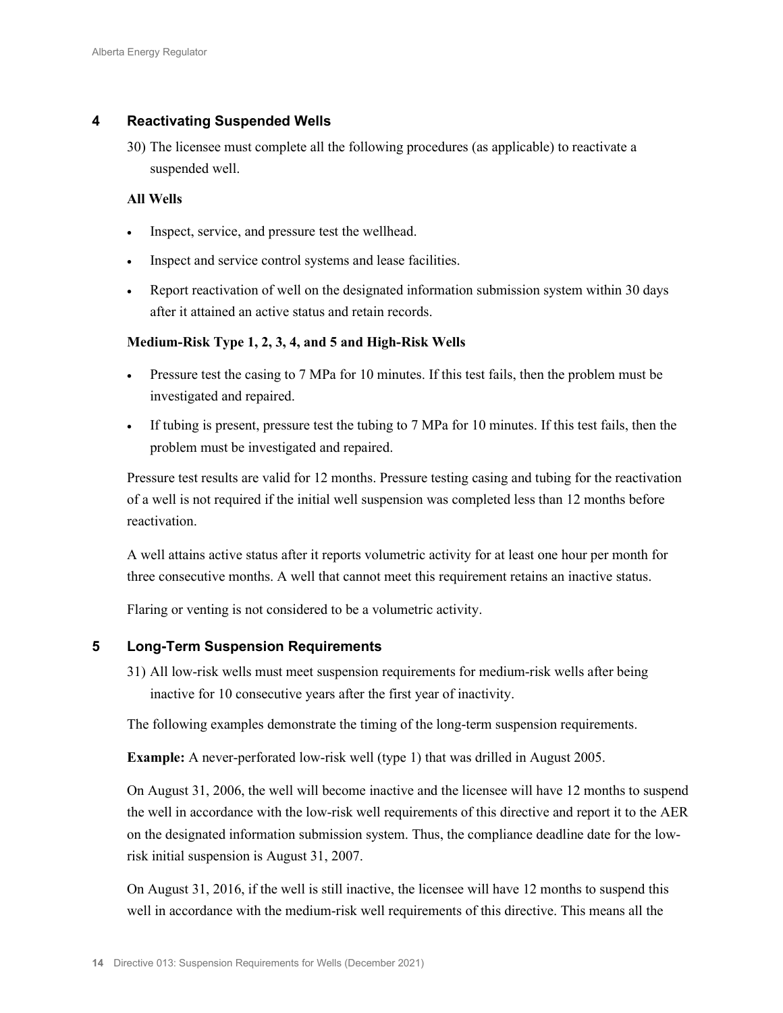# **4 Reactivating Suspended Wells**

30) The licensee must complete all the following procedures (as applicable) to reactivate a suspended well.

## **All Wells**

- Inspect, service, and pressure test the wellhead.
- Inspect and service control systems and lease facilities.
- Report reactivation of well on the designated information submission system within 30 days after it attained an active status and retain records.

## **Medium-Risk Type 1, 2, 3, 4, and 5 and High-Risk Wells**

- Pressure test the casing to 7 MPa for 10 minutes. If this test fails, then the problem must be investigated and repaired.
- If tubing is present, pressure test the tubing to 7 MPa for 10 minutes. If this test fails, then the problem must be investigated and repaired.

Pressure test results are valid for 12 months. Pressure testing casing and tubing for the reactivation of a well is not required if the initial well suspension was completed less than 12 months before reactivation.

A well attains active status after it reports volumetric activity for at least one hour per month for three consecutive months. A well that cannot meet this requirement retains an inactive status.

Flaring or venting is not considered to be a volumetric activity.

## **5 Long-Term Suspension Requirements**

31) All low-risk wells must meet suspension requirements for medium-risk wells after being inactive for 10 consecutive years after the first year of inactivity.

The following examples demonstrate the timing of the long-term suspension requirements.

**Example:** A never-perforated low-risk well (type 1) that was drilled in August 2005.

On August 31, 2006, the well will become inactive and the licensee will have 12 months to suspend the well in accordance with the low-risk well requirements of this directive and report it to the AER on the designated information submission system. Thus, the compliance deadline date for the lowrisk initial suspension is August 31, 2007.

On August 31, 2016, if the well is still inactive, the licensee will have 12 months to suspend this well in accordance with the medium-risk well requirements of this directive. This means all the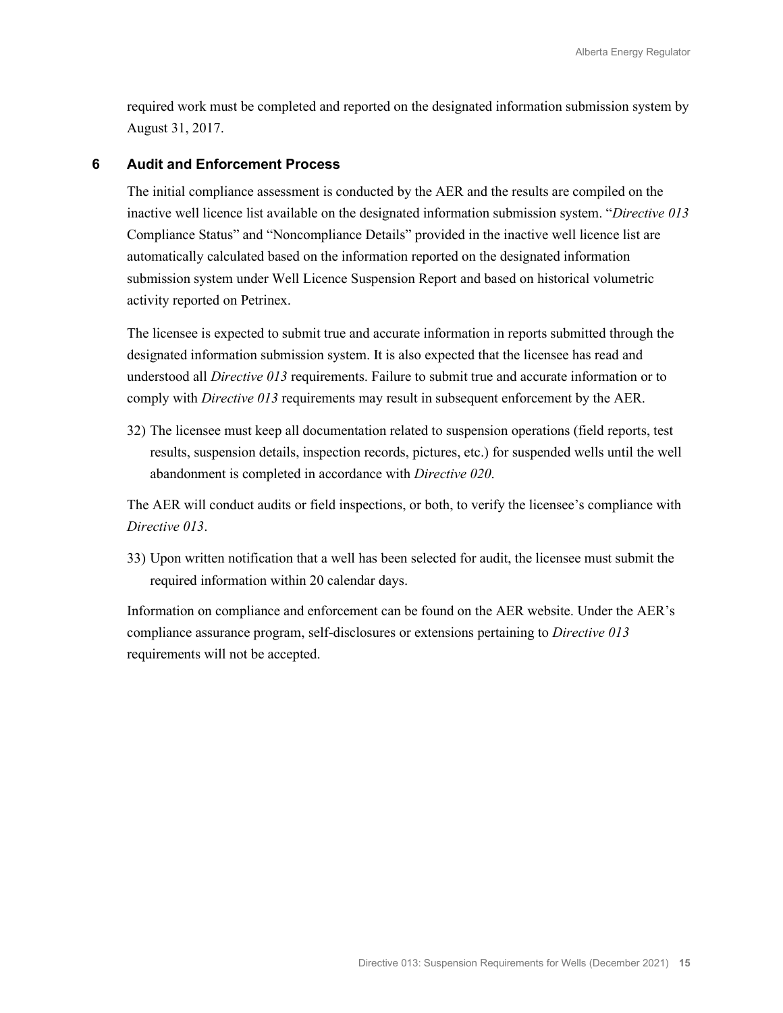required work must be completed and reported on the designated information submission system by August 31, 2017.

#### **6 Audit and Enforcement Process**

The initial compliance assessment is conducted by the AER and the results are compiled on the inactive well licence list available on the designated information submission system. "*Directive 013* Compliance Status" and "Noncompliance Details" provided in the inactive well licence list are automatically calculated based on the information reported on the designated information submission system under Well Licence Suspension Report and based on historical volumetric activity reported on Petrinex.

The licensee is expected to submit true and accurate information in reports submitted through the designated information submission system. It is also expected that the licensee has read and understood all *Directive 013* requirements. Failure to submit true and accurate information or to comply with *Directive 013* requirements may result in subsequent enforcement by the AER.

32) The licensee must keep all documentation related to suspension operations (field reports, test results, suspension details, inspection records, pictures, etc.) for suspended wells until the well abandonment is completed in accordance with *Directive 020*.

The AER will conduct audits or field inspections, or both, to verify the licensee's compliance with *Directive 013*.

33) Upon written notification that a well has been selected for audit, the licensee must submit the required information within 20 calendar days.

Information on compliance and enforcement can be found on the AER website. Under the AER's compliance assurance program, self-disclosures or extensions pertaining to *Directive 013* requirements will not be accepted.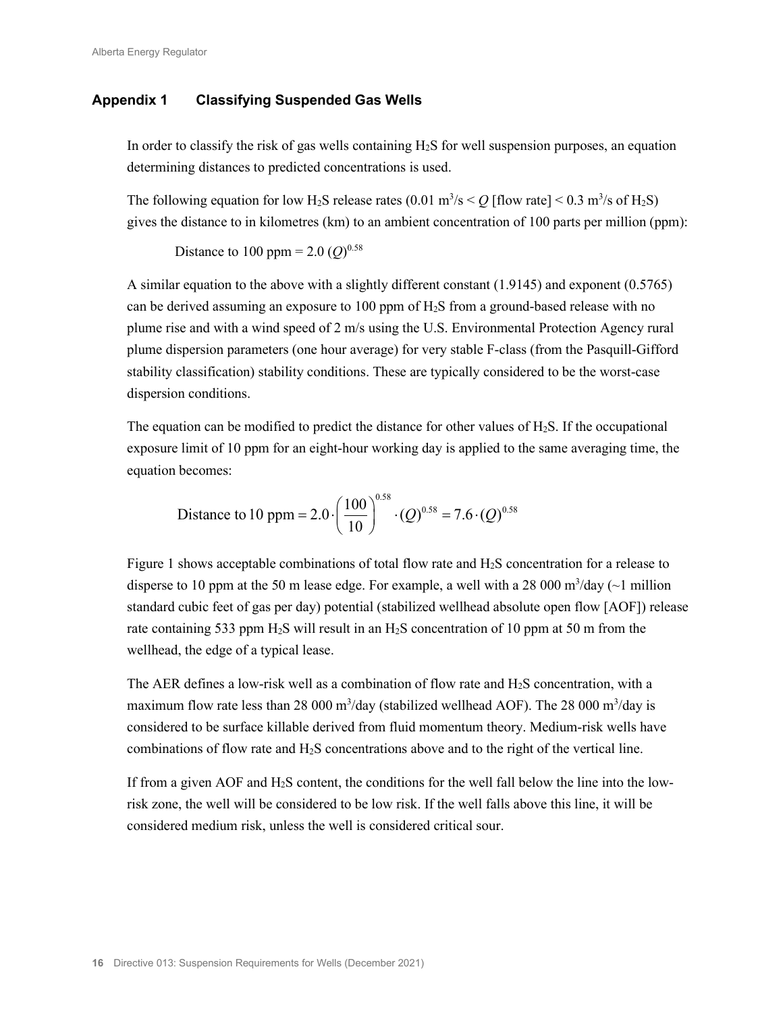# **Appendix 1 Classifying Suspended Gas Wells**

In order to classify the risk of gas wells containing  $H_2S$  for well suspension purposes, an equation determining distances to predicted concentrations is used.

The following equation for low H<sub>2</sub>S release rates  $(0.01 \text{ m}^3/\text{s} < Q$  [flow rate]  $< 0.3 \text{ m}^3/\text{s}$  of H<sub>2</sub>S) gives the distance to in kilometres (km) to an ambient concentration of 100 parts per million (ppm):

Distance to 100 ppm =  $2.0 (Q)^{0.58}$ 

A similar equation to the above with a slightly different constant (1.9145) and exponent (0.5765) can be derived assuming an exposure to 100 ppm of H2S from a ground-based release with no plume rise and with a wind speed of 2 m/s using the U.S. Environmental Protection Agency rural plume dispersion parameters (one hour average) for very stable F-class (from the Pasquill-Gifford stability classification) stability conditions. These are typically considered to be the worst-case dispersion conditions.

The equation can be modified to predict the distance for other values of  $H_2S$ . If the occupational exposure limit of 10 ppm for an eight-hour working day is applied to the same averaging time, the equation becomes:

Distance to 10 ppm = 2.0 
$$
\cdot \left(\frac{100}{10}\right)^{0.58} \cdot (Q)^{0.58} = 7.6 \cdot (Q)^{0.58}
$$

Figure 1 shows acceptable combinations of total flow rate and H2S concentration for a release to disperse to 10 ppm at the 50 m lease edge. For example, a well with a 28 000 m<sup>3</sup>/day ( $\sim$ 1 million standard cubic feet of gas per day) potential (stabilized wellhead absolute open flow [AOF]) release rate containing 533 ppm  $H_2S$  will result in an  $H_2S$  concentration of 10 ppm at 50 m from the wellhead, the edge of a typical lease.

The AER defines a low-risk well as a combination of flow rate and  $H_2S$  concentration, with a maximum flow rate less than 28 000 m<sup>3</sup>/day (stabilized wellhead AOF). The 28 000 m<sup>3</sup>/day is considered to be surface killable derived from fluid momentum theory. Medium-risk wells have combinations of flow rate and H2S concentrations above and to the right of the vertical line.

If from a given AOF and H2S content, the conditions for the well fall below the line into the lowrisk zone, the well will be considered to be low risk. If the well falls above this line, it will be considered medium risk, unless the well is considered critical sour.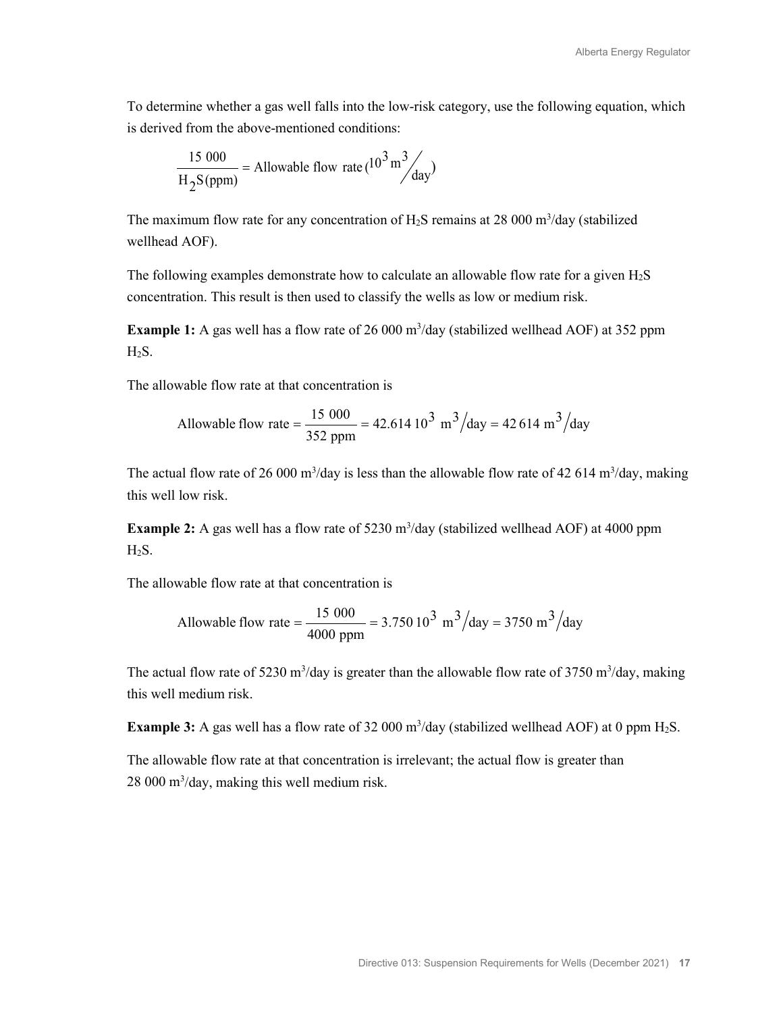To determine whether a gas well falls into the low-risk category, use the following equation, which is derived from the above-mentioned conditions:

$$
\frac{15\ 000}{\text{H}_2\text{S(ppm)}} = \text{Allowable flow rate} (10^3 \text{ m}^3\text{/day})
$$

The maximum flow rate for any concentration of  $H_2S$  remains at 28 000 m<sup>3</sup>/day (stabilized wellhead AOF).

The following examples demonstrate how to calculate an allowable flow rate for a given H2S concentration. This result is then used to classify the wells as low or medium risk.

**Example 1:** A gas well has a flow rate of 26 000 m<sup>3</sup>/day (stabilized wellhead AOF) at 352 ppm  $H_2S$ .

The allowable flow rate at that concentration is

Allowable flow rate = 
$$
\frac{15\ 000}{352\ \text{ppm}} = 42.614\ 10^3\ \text{m}^3\text{/day} = 42\ 614\ \text{m}^3\text{/day}
$$

The actual flow rate of 26 000 m<sup>3</sup>/day is less than the allowable flow rate of 42 614 m<sup>3</sup>/day, making this well low risk.

**Example 2:** A gas well has a flow rate of 5230 m<sup>3</sup>/day (stabilized wellhead AOF) at 4000 ppm  $H_2S$ .

The allowable flow rate at that concentration is

Allowable flow rate = 
$$
\frac{15\ 000}{4000\ \text{ppm}} = 3.750\ 10^3\ \text{m}^3\text{/day} = 3750\ \text{m}^3\text{/day}
$$

The actual flow rate of 5230 m<sup>3</sup>/day is greater than the allowable flow rate of 3750 m<sup>3</sup>/day, making this well medium risk.

**Example 3:** A gas well has a flow rate of 32 000  $m^3$ /day (stabilized wellhead AOF) at 0 ppm  $H_2S$ .

The allowable flow rate at that concentration is irrelevant; the actual flow is greater than 28 000 m3 /day, making this well medium risk.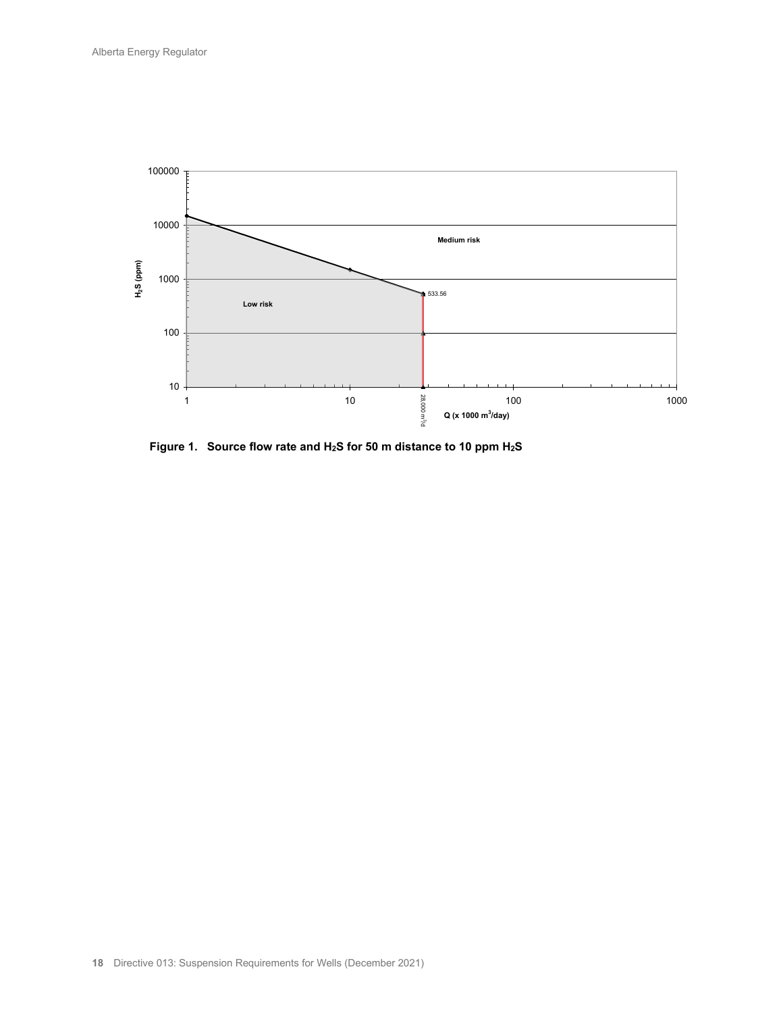

**Figure 1. Source flow rate and H2S for 50 m distance to 10 ppm H2S**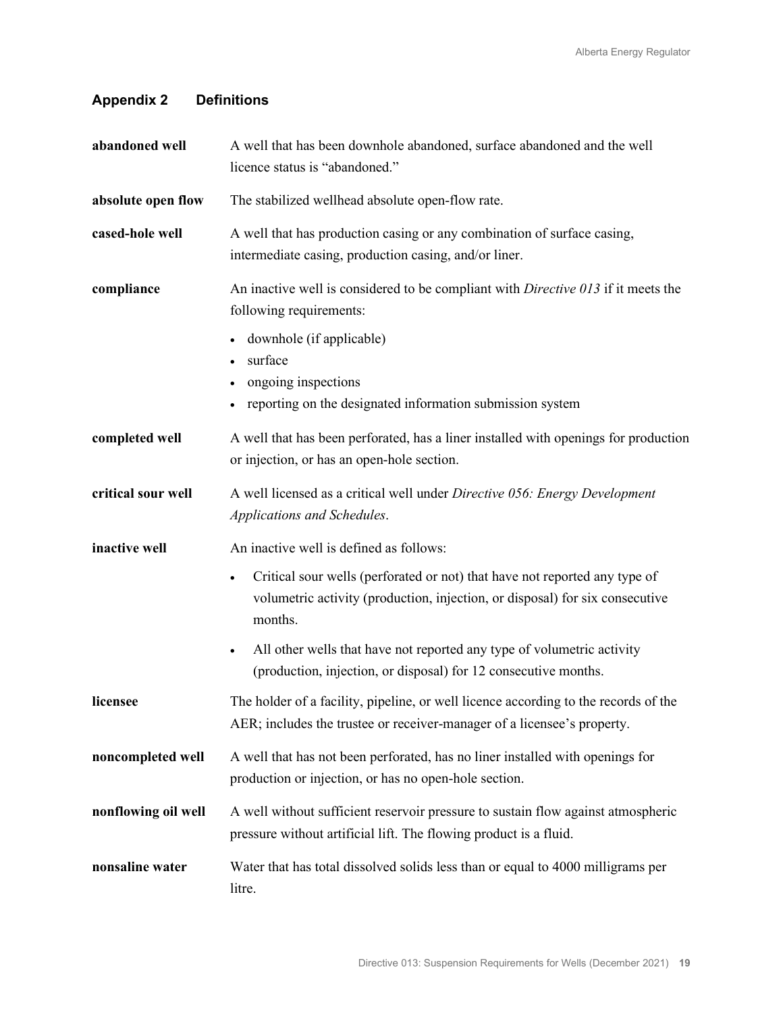# **Appendix 2 Definitions**

| abandoned well      | A well that has been downhole abandoned, surface abandoned and the well<br>licence status is "abandoned."                                                                          |
|---------------------|------------------------------------------------------------------------------------------------------------------------------------------------------------------------------------|
| absolute open flow  | The stabilized wellhead absolute open-flow rate.                                                                                                                                   |
| cased-hole well     | A well that has production casing or any combination of surface casing,<br>intermediate casing, production casing, and/or liner.                                                   |
| compliance          | An inactive well is considered to be compliant with Directive 013 if it meets the<br>following requirements:                                                                       |
|                     | downhole (if applicable)<br>surface<br>ongoing inspections<br>reporting on the designated information submission system                                                            |
| completed well      | A well that has been perforated, has a liner installed with openings for production<br>or injection, or has an open-hole section.                                                  |
| critical sour well  | A well licensed as a critical well under Directive 056: Energy Development<br>Applications and Schedules.                                                                          |
| inactive well       | An inactive well is defined as follows:                                                                                                                                            |
|                     | Critical sour wells (perforated or not) that have not reported any type of<br>$\bullet$<br>volumetric activity (production, injection, or disposal) for six consecutive<br>months. |
|                     | All other wells that have not reported any type of volumetric activity<br>$\bullet$<br>(production, injection, or disposal) for 12 consecutive months.                             |
| licensee            | The holder of a facility, pipeline, or well licence according to the records of the<br>AER; includes the trustee or receiver-manager of a licensee's property.                     |
| noncompleted well   | A well that has not been perforated, has no liner installed with openings for<br>production or injection, or has no open-hole section.                                             |
| nonflowing oil well | A well without sufficient reservoir pressure to sustain flow against atmospheric<br>pressure without artificial lift. The flowing product is a fluid.                              |
| nonsaline water     | Water that has total dissolved solids less than or equal to 4000 milligrams per<br>litre.                                                                                          |